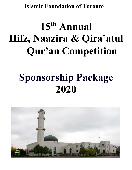#### **Islamic Foundation of Toronto**

# **15th Annual Hifz, Naazira & Qira'atul Qur'an Competition**

## **Sponsorship Package 2020**

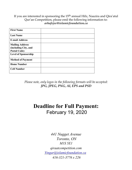If you are interested in sponsoring the 15<sup>th</sup> annual Hifz, Naazira and Qira'atul Qur'an Competition, please emil the following information to: *arhafejee@islamicfoundation.ca*

| <b>First Name</b>                                                     |  |
|-----------------------------------------------------------------------|--|
| <b>Last Name</b>                                                      |  |
| <b>E-mail Address</b>                                                 |  |
| <b>Mailing Address</b><br>(including City, and<br><b>Postal Code)</b> |  |
| <b>Level of Sponsorship</b>                                           |  |
| <b>Method of Payment</b>                                              |  |
| <b>Home Number</b>                                                    |  |
| <b>Cell Number</b>                                                    |  |

*Please note, only logos in the following formats will be accepted: JPG, JPEG, PNG, AI, EPS and PSD*

#### **Deadline for Full Payment:** February 19, 2020

*441 Nugget Avenue Toronto, ON M1S 5E1 qiraatcompetition.com Yingar@islamicfoundation.ca 416-321-3776 x 226*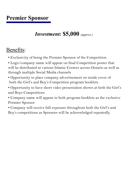### *Investment:* **\$5,000** *(approx.)*

## Benefits:

- Exclusivity of being the Premier Sponsor of the Competition
- Logo/company name will appear on final Competition poster that will be distributed at various Islamic Centers across Ontario as well as through multiple Social Media channels
- Opportunity to place company advertisement on inside cover of both the Girl's and Boy's Competition program booklets
- Opportunity to have short video presentation shown at both the Girl's and Boys Competitions
- Company name will appear in both program booklets as the exclusive Premier Sponsor
- Company will receive full exposure throughout both the Girl's and Boy's competitions as Sponsors will be acknowledged repeatedly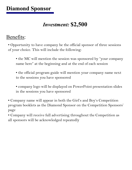#### *Investment:* **\$2,500**

#### Benefits:

• Opportunity to have company be the official sponsor of three sessions of your choice. This will include the following:

- the MC will mention the session was sponsored by "your company name here" at the beginning and at the end of each session
- the official program guide will mention your company name next to the sessions you have sponsored

• company logo will be displayed on PowerPoint presentation slides in the sessions you have sponsored

• Company name will appear in both the Girl's and Boy's Competition program booklets as the Diamond Sponsor on the Competition Sponsors' page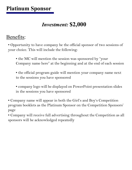#### *Investment:* **\$2,000**

#### Benefits:

• Opportunity to have company be the official sponsor of two sessions of your choice. This will include the following:

• the MC will mention the session was sponsored by "your" Company name here" at the beginning and at the end of each session

• the official program guide will mention your company name next to the sessions you have sponsored

• company logo will be displayed on PowerPoint presentation slides in the sessions you have sponsored

• Company name will appear in both the Girl's and Boy's Competition program booklets as the Platinum Sponsor on the Competition Sponsors' page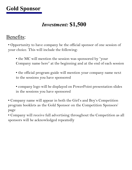## **Gold Sponsor**

#### *Investment:* **\$1,500**

#### Benefits:

• Opportunity to have company be the official sponsor of one session of your choice. This will include the following:

• the MC will mention the session was sponsored by "your" Company name here" at the beginning and at the end of each session

• the official program guide will mention your company name next to the sessions you have sponsored

• company logo will be displayed on PowerPoint presentation slides in the sessions you have sponsored

• Company name will appear in both the Girl's and Boy's Competition program booklets as the Gold Sponsor on the Competition Sponsors' page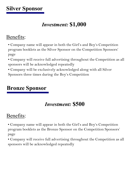#### *Investment:* **\$1,000**

#### Benefits:

• Company name will appear in both the Girl's and Boy's Competition program booklets as the Silver Sponsor on the Competition Sponsors' page

• Company will receive full advertising throughout the Competition as all sponsors will be acknowledged repeatedly

• Company will be exclusively acknowledged along with all Silver Sponsors three times during the Boy's Competition

#### **Bronze Sponsor**

#### *Investment:* **\$500**

### Benefits:

• Company name will appear in both the Girl's and Boy's Competition program booklets as the Bronze Sponsor on the Competition Sponsors' page